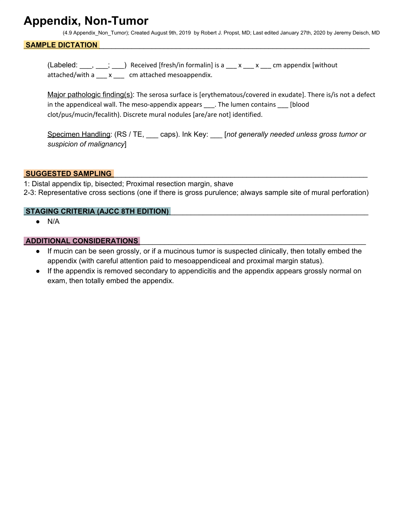## **Appendix, Non-Tumor**

(4.9 Appendix\_Non\_Tumor); Created August 9th, 2019 by Robert J. Propst, MD; Last edited January 27th, 2020 by Jeremy Deisch, MD

#### SAMPLE DICTATION

(Labeled:  $\frac{1}{\sqrt{2}}$ ,  $\frac{1}{\sqrt{2}}$ ) Received [fresh/in formalin] is a  $\frac{1}{\sqrt{2}}$  x  $\frac{1}{\sqrt{2}}$  cm appendix [without attached/with a \_\_\_ x \_\_\_ cm attached mesoappendix.

Major pathologic finding(s): The serosa surface is [erythematous/covered in exudate]. There is/is not a defect in the appendiceal wall. The meso-appendix appears \_\_\_. The lumen contains \_\_\_ [blood clot/pus/mucin/fecalith). Discrete mural nodules [are/are not] identified.

Specimen Handling: (RS / TE, \_\_\_ caps). Ink Key: \_\_\_ [*not generally needed unless gross tumor or suspicion of malignancy*]

#### **SUGGESTED SAMPLING**

1: Distal appendix tip, bisected; Proximal resection margin, shave 2-3: Representative cross sections (one if there is gross purulence; always sample site of mural perforation)

#### **STAGING CRITERIA (AJCC 8TH EDITION)** \_\_\_\_\_\_\_\_\_\_\_\_\_\_\_\_\_\_\_\_\_\_\_\_\_\_\_\_\_\_\_\_\_\_\_\_\_\_\_\_\_\_\_\_\_\_\_\_\_

● N/A

#### **ADDITIONAL CONSIDERATIONS** \_\_\_\_\_\_\_\_\_\_\_\_\_\_\_\_\_\_\_\_\_\_\_\_\_\_\_\_\_\_\_\_\_\_\_\_\_\_\_\_\_\_\_\_\_\_\_\_\_\_\_\_\_\_\_\_

- If mucin can be seen grossly, or if a mucinous tumor is suspected clinically, then totally embed the appendix (with careful attention paid to mesoappendiceal and proximal margin status).
- If the appendix is removed secondary to appendicitis and the appendix appears grossly normal on exam, then totally embed the appendix.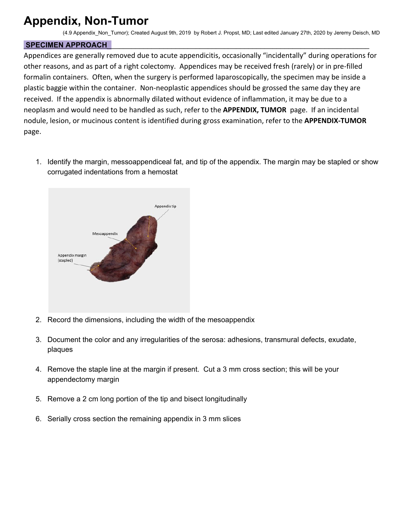# **Appendix, Non-Tumor**

(4.9 Appendix\_Non\_Tumor); Created August 9th, 2019 by Robert J. Propst, MD; Last edited January 27th, 2020 by Jeremy Deisch, MD

### **SPECIMEN APPROACH**\_\_\_\_\_\_\_\_\_\_\_\_\_\_\_\_\_\_\_\_\_\_\_\_\_\_\_\_\_\_\_\_\_\_\_\_\_\_\_\_\_\_\_\_\_\_\_\_\_\_\_\_\_\_\_\_\_\_\_\_\_\_\_\_\_

Appendices are generally removed due to acute appendicitis, occasionally "incidentally" during operations for other reasons, and as part of a right colectomy. Appendices may be received fresh (rarely) or in pre-filled formalin containers. Often, when the surgery is performed laparoscopically, the specimen may be inside a plastic baggie within the container. Non-neoplastic appendices should be grossed the same day they are received. If the appendix is abnormally dilated without evidence of inflammation, it may be due to a neoplasm and would need to be handled as such, refer to the **APPENDIX, TUMOR** page. If an incidental nodule, lesion, or mucinous content is identified during gross examination, refer to the **APPENDIX-TUMOR** page.

1. Identify the margin, messoappendiceal fat, and tip of the appendix. The margin may be stapled or show corrugated indentations from a hemostat



- 2. Record the dimensions, including the width of the mesoappendix
- 3. Document the color and any irregularities of the serosa: adhesions, transmural defects, exudate, plaques
- 4. Remove the staple line at the margin if present. Cut a 3 mm cross section; this will be your appendectomy margin
- 5. Remove a 2 cm long portion of the tip and bisect longitudinally
- 6. Serially cross section the remaining appendix in 3 mm slices